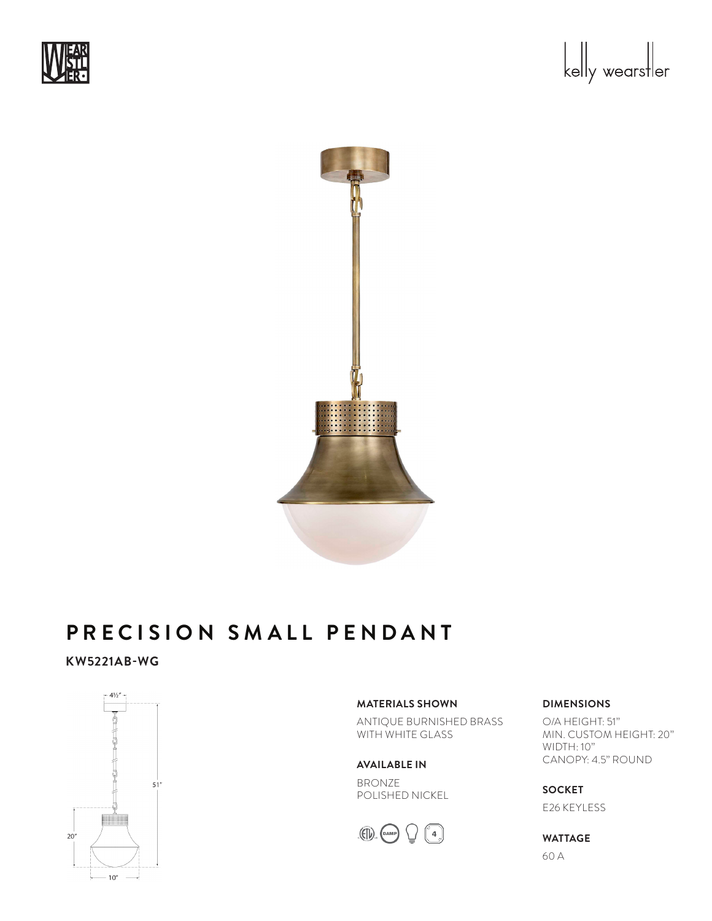



#### PRECISION SMALL PENDANT Glass Options: WG Socket: Keyless

# **KW5221AB-WG**



**MATERIALS SHOWN**

ANTIQUE BURNISHED BRASS WITH WHITE GLASS

**AVAILABLE IN**

BRONZE POLISHED NICKEL



## **DIMENSIONS**

O/A HEIGHT: 51" MIN. CUSTOM HEIGHT: 20" WIDTH: 10" CANOPY: 4.5" ROUND

**SOCKET**  E26 KEYLESS

**WATTAGE** 

60 A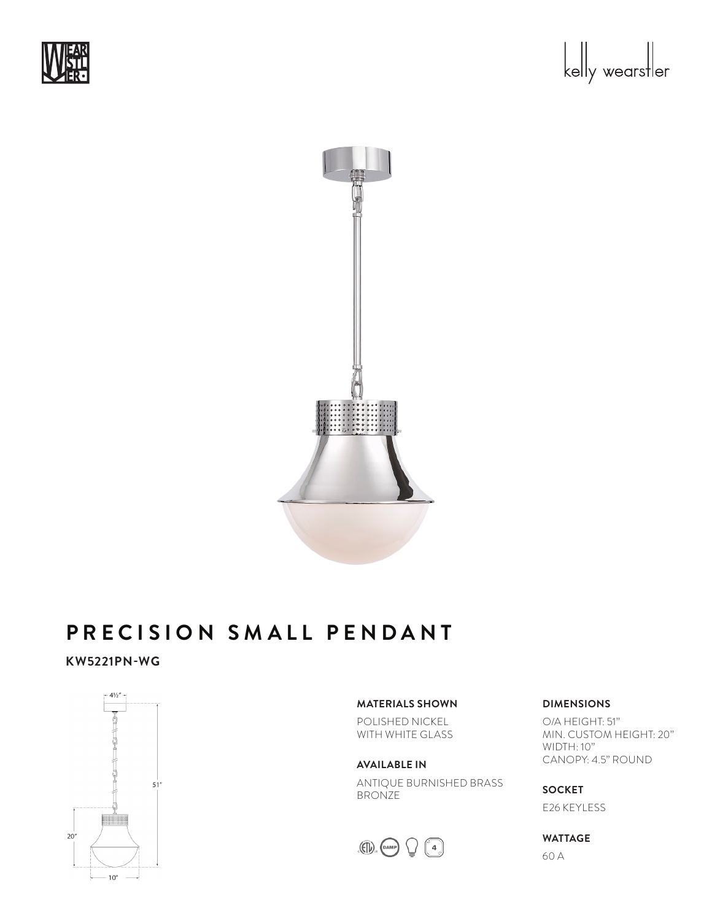





#### PRECISION SMALL PENDANT Glass Options: WG Socket: Keyless

# **KW5221PN-WG**



## **MATERIALS SHOWN**

POLISHED NICKEL WITH WHITE GLASS

### **AVAILABLE IN**

ANTIQUE BURNISHED BRASS BRONZE



## **DIMENSIONS**

O/A HEIGHT: 51" MIN. CUSTOM HEIGHT: 20" WIDTH: 10" CANOPY: 4.5" ROUND

**SOCKET**  E26 KEYLESS

# **WATTAGE**

60 A